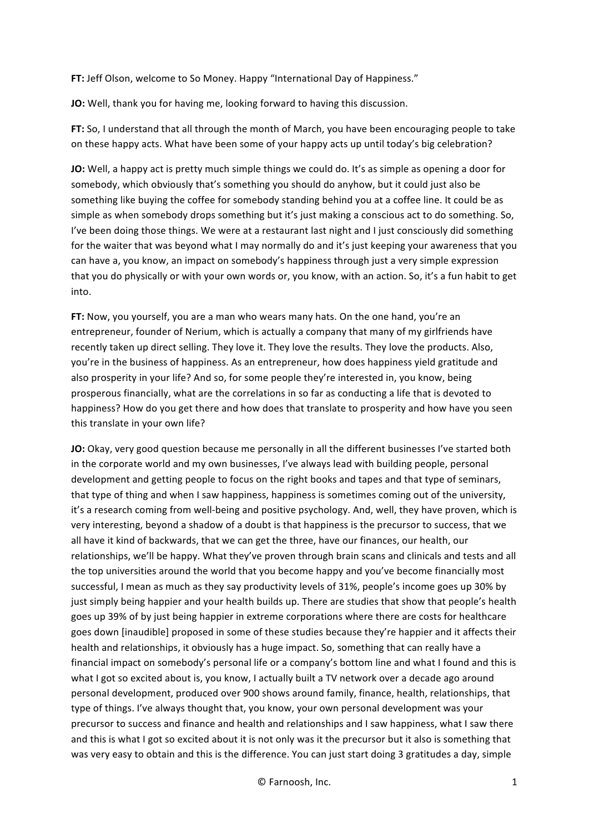**FT:** Jeff Olson, welcome to So Money. Happy "International Day of Happiness."

**JO:** Well, thank you for having me, looking forward to having this discussion.

**FT:** So, I understand that all through the month of March, you have been encouraging people to take on these happy acts. What have been some of your happy acts up until today's big celebration?

**JO:** Well, a happy act is pretty much simple things we could do. It's as simple as opening a door for somebody, which obviously that's something you should do anyhow, but it could just also be something like buying the coffee for somebody standing behind you at a coffee line. It could be as simple as when somebody drops something but it's just making a conscious act to do something. So, I've been doing those things. We were at a restaurant last night and I just consciously did something for the waiter that was beyond what I may normally do and it's just keeping your awareness that you can have a, you know, an impact on somebody's happiness through just a very simple expression that you do physically or with your own words or, you know, with an action. So, it's a fun habit to get into.

**FT:** Now, you yourself, you are a man who wears many hats. On the one hand, you're an entrepreneur, founder of Nerium, which is actually a company that many of my girlfriends have recently taken up direct selling. They love it. They love the results. They love the products. Also, you're in the business of happiness. As an entrepreneur, how does happiness yield gratitude and also prosperity in your life? And so, for some people they're interested in, you know, being prosperous financially, what are the correlations in so far as conducting a life that is devoted to happiness? How do you get there and how does that translate to prosperity and how have you seen this translate in your own life?

**JO:** Okay, very good question because me personally in all the different businesses I've started both in the corporate world and my own businesses, I've always lead with building people, personal development and getting people to focus on the right books and tapes and that type of seminars, that type of thing and when I saw happiness, happiness is sometimes coming out of the university, it's a research coming from well-being and positive psychology. And, well, they have proven, which is very interesting, beyond a shadow of a doubt is that happiness is the precursor to success, that we all have it kind of backwards, that we can get the three, have our finances, our health, our relationships, we'll be happy. What they've proven through brain scans and clinicals and tests and all the top universities around the world that you become happy and you've become financially most successful, I mean as much as they say productivity levels of 31%, people's income goes up 30% by just simply being happier and your health builds up. There are studies that show that people's health goes up 39% of by just being happier in extreme corporations where there are costs for healthcare goes down [inaudible] proposed in some of these studies because they're happier and it affects their health and relationships, it obviously has a huge impact. So, something that can really have a financial impact on somebody's personal life or a company's bottom line and what I found and this is what I got so excited about is, you know, I actually built a TV network over a decade ago around personal development, produced over 900 shows around family, finance, health, relationships, that type of things. I've always thought that, you know, your own personal development was your precursor to success and finance and health and relationships and I saw happiness, what I saw there and this is what I got so excited about it is not only was it the precursor but it also is something that was very easy to obtain and this is the difference. You can just start doing 3 gratitudes a day, simple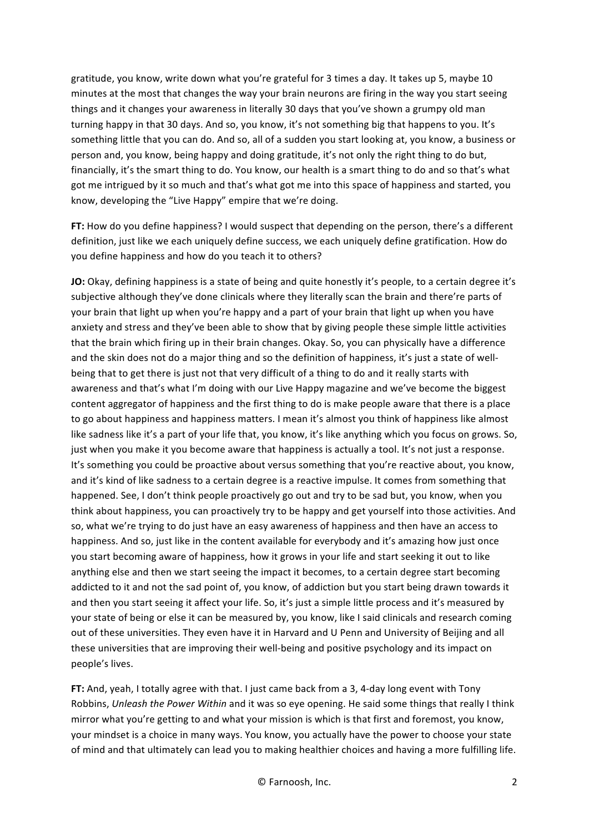gratitude, you know, write down what you're grateful for 3 times a day. It takes up 5, maybe 10 minutes at the most that changes the way your brain neurons are firing in the way you start seeing things and it changes your awareness in literally 30 days that you've shown a grumpy old man turning happy in that 30 days. And so, you know, it's not something big that happens to you. It's something little that you can do. And so, all of a sudden you start looking at, you know, a business or person and, you know, being happy and doing gratitude, it's not only the right thing to do but, financially, it's the smart thing to do. You know, our health is a smart thing to do and so that's what got me intrigued by it so much and that's what got me into this space of happiness and started, you know, developing the "Live Happy" empire that we're doing.

FT: How do you define happiness? I would suspect that depending on the person, there's a different definition, just like we each uniquely define success, we each uniquely define gratification. How do you define happiness and how do you teach it to others?

**JO:** Okay, defining happiness is a state of being and quite honestly it's people, to a certain degree it's subjective although they've done clinicals where they literally scan the brain and there're parts of your brain that light up when you're happy and a part of your brain that light up when you have anxiety and stress and they've been able to show that by giving people these simple little activities that the brain which firing up in their brain changes. Okay. So, you can physically have a difference and the skin does not do a major thing and so the definition of happiness, it's just a state of wellbeing that to get there is just not that very difficult of a thing to do and it really starts with awareness and that's what I'm doing with our Live Happy magazine and we've become the biggest content aggregator of happiness and the first thing to do is make people aware that there is a place to go about happiness and happiness matters. I mean it's almost you think of happiness like almost like sadness like it's a part of your life that, you know, it's like anything which you focus on grows. So, just when you make it you become aware that happiness is actually a tool. It's not just a response. It's something you could be proactive about versus something that you're reactive about, you know, and it's kind of like sadness to a certain degree is a reactive impulse. It comes from something that happened. See, I don't think people proactively go out and try to be sad but, you know, when you think about happiness, you can proactively try to be happy and get yourself into those activities. And so, what we're trying to do just have an easy awareness of happiness and then have an access to happiness. And so, just like in the content available for everybody and it's amazing how just once you start becoming aware of happiness, how it grows in your life and start seeking it out to like anything else and then we start seeing the impact it becomes, to a certain degree start becoming addicted to it and not the sad point of, you know, of addiction but you start being drawn towards it and then you start seeing it affect your life. So, it's just a simple little process and it's measured by your state of being or else it can be measured by, you know, like I said clinicals and research coming out of these universities. They even have it in Harvard and U Penn and University of Beijing and all these universities that are improving their well-being and positive psychology and its impact on people's lives.

**FT:** And, yeah, I totally agree with that. I just came back from a 3, 4-day long event with Tony Robbins, *Unleash the Power Within* and it was so eye opening. He said some things that really I think mirror what you're getting to and what your mission is which is that first and foremost, you know, your mindset is a choice in many ways. You know, you actually have the power to choose your state of mind and that ultimately can lead you to making healthier choices and having a more fulfilling life.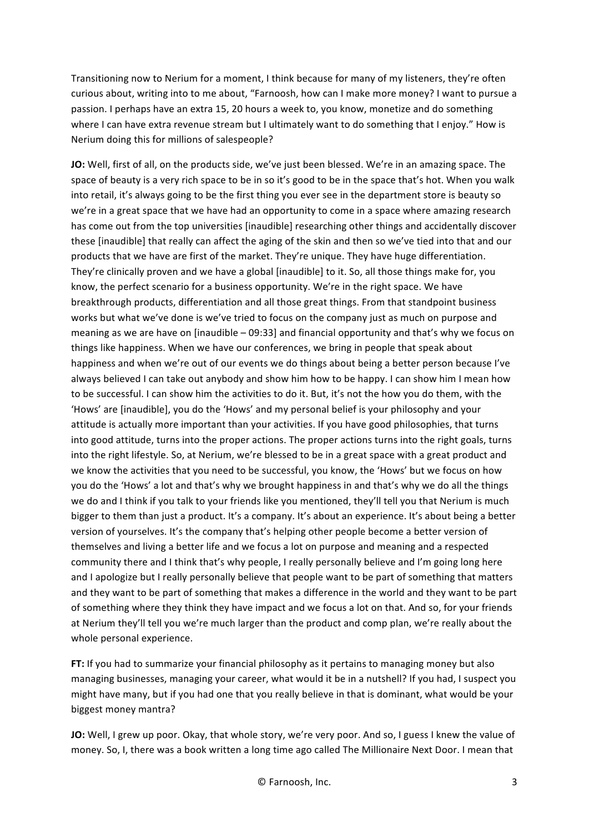Transitioning now to Nerium for a moment, I think because for many of my listeners, they're often curious about, writing into to me about, "Farnoosh, how can I make more money? I want to pursue a passion. I perhaps have an extra 15, 20 hours a week to, you know, monetize and do something where I can have extra revenue stream but I ultimately want to do something that I enjoy." How is Nerium doing this for millions of salespeople?

**JO:** Well, first of all, on the products side, we've just been blessed. We're in an amazing space. The space of beauty is a very rich space to be in so it's good to be in the space that's hot. When you walk into retail, it's always going to be the first thing you ever see in the department store is beauty so we're in a great space that we have had an opportunity to come in a space where amazing research has come out from the top universities [inaudible] researching other things and accidentally discover these [inaudible] that really can affect the aging of the skin and then so we've tied into that and our products that we have are first of the market. They're unique. They have huge differentiation. They're clinically proven and we have a global [inaudible] to it. So, all those things make for, you know, the perfect scenario for a business opportunity. We're in the right space. We have breakthrough products, differentiation and all those great things. From that standpoint business works but what we've done is we've tried to focus on the company just as much on purpose and meaning as we are have on [inaudible  $-$  09:33] and financial opportunity and that's why we focus on things like happiness. When we have our conferences, we bring in people that speak about happiness and when we're out of our events we do things about being a better person because I've always believed I can take out anybody and show him how to be happy. I can show him I mean how to be successful. I can show him the activities to do it. But, it's not the how you do them, with the 'Hows' are [inaudible], you do the 'Hows' and my personal belief is your philosophy and your attitude is actually more important than your activities. If you have good philosophies, that turns into good attitude, turns into the proper actions. The proper actions turns into the right goals, turns into the right lifestyle. So, at Nerium, we're blessed to be in a great space with a great product and we know the activities that you need to be successful, you know, the 'Hows' but we focus on how you do the 'Hows' a lot and that's why we brought happiness in and that's why we do all the things we do and I think if you talk to your friends like you mentioned, they'll tell you that Nerium is much bigger to them than just a product. It's a company. It's about an experience. It's about being a better version of yourselves. It's the company that's helping other people become a better version of themselves and living a better life and we focus a lot on purpose and meaning and a respected community there and I think that's why people, I really personally believe and I'm going long here and I apologize but I really personally believe that people want to be part of something that matters and they want to be part of something that makes a difference in the world and they want to be part of something where they think they have impact and we focus a lot on that. And so, for your friends at Nerium they'll tell you we're much larger than the product and comp plan, we're really about the whole personal experience.

**FT:** If you had to summarize your financial philosophy as it pertains to managing money but also managing businesses, managing your career, what would it be in a nutshell? If you had, I suspect you might have many, but if you had one that you really believe in that is dominant, what would be your biggest money mantra?

**JO:** Well, I grew up poor. Okay, that whole story, we're very poor. And so, I guess I knew the value of money. So, I, there was a book written a long time ago called The Millionaire Next Door. I mean that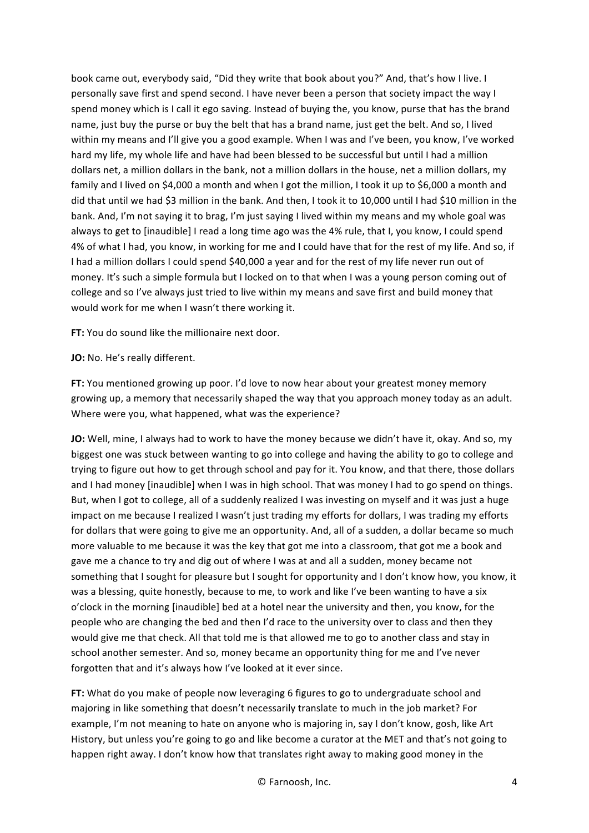book came out, everybody said, "Did they write that book about you?" And, that's how I live. I personally save first and spend second. I have never been a person that society impact the way I spend money which is I call it ego saving. Instead of buying the, you know, purse that has the brand name, just buy the purse or buy the belt that has a brand name, just get the belt. And so, I lived within my means and I'll give you a good example. When I was and I've been, you know, I've worked hard my life, my whole life and have had been blessed to be successful but until I had a million dollars net, a million dollars in the bank, not a million dollars in the house, net a million dollars, my family and I lived on \$4,000 a month and when I got the million, I took it up to \$6,000 a month and did that until we had \$3 million in the bank. And then, I took it to 10,000 until I had \$10 million in the bank. And, I'm not saying it to brag, I'm just saying I lived within my means and my whole goal was always to get to [inaudible] I read a long time ago was the 4% rule, that I, you know, I could spend 4% of what I had, you know, in working for me and I could have that for the rest of my life. And so, if I had a million dollars I could spend \$40,000 a year and for the rest of my life never run out of money. It's such a simple formula but I locked on to that when I was a young person coming out of college and so I've always just tried to live within my means and save first and build money that would work for me when I wasn't there working it.

**FT:** You do sound like the millionaire next door.

**JO:** No. He's really different.

**FT:** You mentioned growing up poor. I'd love to now hear about your greatest money memory growing up, a memory that necessarily shaped the way that you approach money today as an adult. Where were you, what happened, what was the experience?

**JO:** Well, mine, I always had to work to have the money because we didn't have it, okay. And so, my biggest one was stuck between wanting to go into college and having the ability to go to college and trying to figure out how to get through school and pay for it. You know, and that there, those dollars and I had money [inaudible] when I was in high school. That was money I had to go spend on things. But, when I got to college, all of a suddenly realized I was investing on myself and it was just a huge impact on me because I realized I wasn't just trading my efforts for dollars, I was trading my efforts for dollars that were going to give me an opportunity. And, all of a sudden, a dollar became so much more valuable to me because it was the key that got me into a classroom, that got me a book and gave me a chance to try and dig out of where I was at and all a sudden, money became not something that I sought for pleasure but I sought for opportunity and I don't know how, you know, it was a blessing, quite honestly, because to me, to work and like I've been wanting to have a six o'clock in the morning [inaudible] bed at a hotel near the university and then, you know, for the people who are changing the bed and then I'd race to the university over to class and then they would give me that check. All that told me is that allowed me to go to another class and stay in school another semester. And so, money became an opportunity thing for me and I've never forgotten that and it's always how I've looked at it ever since.

**FT:** What do you make of people now leveraging 6 figures to go to undergraduate school and majoring in like something that doesn't necessarily translate to much in the job market? For example, I'm not meaning to hate on anyone who is majoring in, say I don't know, gosh, like Art History, but unless you're going to go and like become a curator at the MET and that's not going to happen right away. I don't know how that translates right away to making good money in the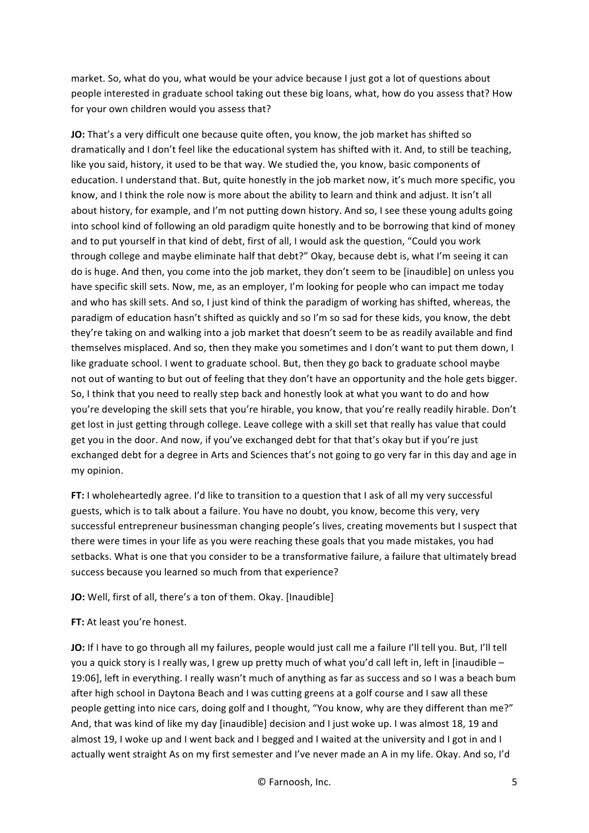market. So, what do you, what would be your advice because I just got a lot of questions about people interested in graduate school taking out these big loans, what, how do you assess that? How for your own children would you assess that?

**JO:** That's a very difficult one because quite often, you know, the job market has shifted so dramatically and I don't feel like the educational system has shifted with it. And, to still be teaching, like you said, history, it used to be that way. We studied the, you know, basic components of education. I understand that. But, quite honestly in the job market now, it's much more specific, you know, and I think the role now is more about the ability to learn and think and adjust. It isn't all about history, for example, and I'm not putting down history. And so, I see these young adults going into school kind of following an old paradigm quite honestly and to be borrowing that kind of money and to put yourself in that kind of debt, first of all, I would ask the question, "Could you work through college and maybe eliminate half that debt?" Okay, because debt is, what I'm seeing it can do is huge. And then, you come into the job market, they don't seem to be [inaudible] on unless you have specific skill sets. Now, me, as an employer, I'm looking for people who can impact me today and who has skill sets. And so, I just kind of think the paradigm of working has shifted, whereas, the paradigm of education hasn't shifted as quickly and so I'm so sad for these kids, you know, the debt they're taking on and walking into a job market that doesn't seem to be as readily available and find themselves misplaced. And so, then they make you sometimes and I don't want to put them down, I like graduate school. I went to graduate school. But, then they go back to graduate school maybe not out of wanting to but out of feeling that they don't have an opportunity and the hole gets bigger. So, I think that you need to really step back and honestly look at what you want to do and how you're developing the skill sets that you're hirable, you know, that you're really readily hirable. Don't get lost in just getting through college. Leave college with a skill set that really has value that could get you in the door. And now, if you've exchanged debt for that that's okay but if you're just exchanged debt for a degree in Arts and Sciences that's not going to go very far in this day and age in my opinion.

**FT:** I wholeheartedly agree. I'd like to transition to a question that I ask of all my very successful guests, which is to talk about a failure. You have no doubt, you know, become this very, very successful entrepreneur businessman changing people's lives, creating movements but I suspect that there were times in your life as you were reaching these goals that you made mistakes, you had setbacks. What is one that you consider to be a transformative failure, a failure that ultimately bread success because you learned so much from that experience?

## **JO:** Well, first of all, there's a ton of them. Okay. [Inaudible]

## **FT:** At least you're honest.

**JO:** If I have to go through all my failures, people would just call me a failure I'll tell you. But, I'll tell you a quick story is I really was, I grew up pretty much of what you'd call left in, left in [inaudible – 19:06], left in everything. I really wasn't much of anything as far as success and so I was a beach bum after high school in Daytona Beach and I was cutting greens at a golf course and I saw all these people getting into nice cars, doing golf and I thought, "You know, why are they different than me?" And, that was kind of like my day [inaudible] decision and I just woke up. I was almost 18, 19 and almost 19, I woke up and I went back and I begged and I waited at the university and I got in and I actually went straight As on my first semester and I've never made an A in my life. Okay. And so, I'd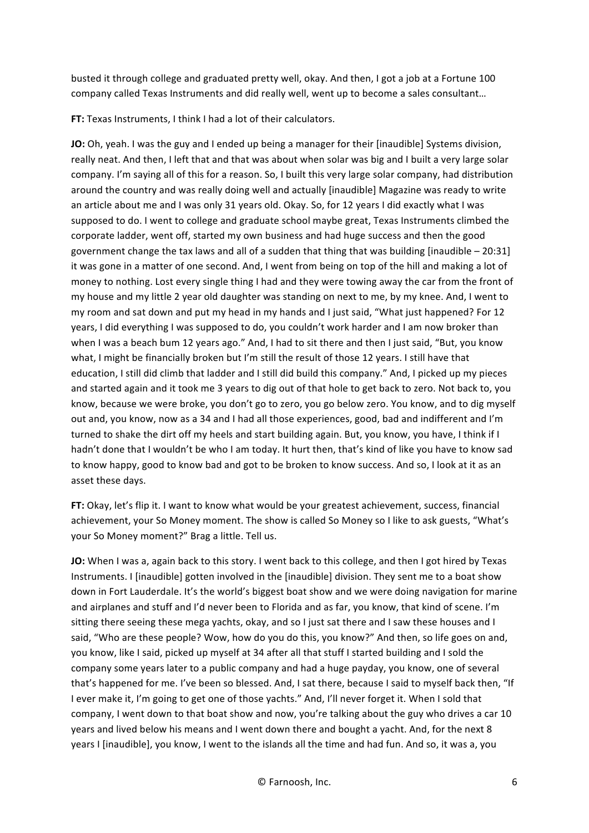busted it through college and graduated pretty well, okay. And then, I got a job at a Fortune 100 company called Texas Instruments and did really well, went up to become a sales consultant...

**FT:** Texas Instruments, I think I had a lot of their calculators.

**JO:** Oh, yeah. I was the guy and I ended up being a manager for their [inaudible] Systems division, really neat. And then, I left that and that was about when solar was big and I built a very large solar company. I'm saying all of this for a reason. So, I built this very large solar company, had distribution around the country and was really doing well and actually [inaudible] Magazine was ready to write an article about me and I was only 31 years old. Okay. So, for 12 years I did exactly what I was supposed to do. I went to college and graduate school maybe great, Texas Instruments climbed the corporate ladder, went off, started my own business and had huge success and then the good government change the tax laws and all of a sudden that thing that was building [inaudible  $- 20:31$ ] it was gone in a matter of one second. And, I went from being on top of the hill and making a lot of money to nothing. Lost every single thing I had and they were towing away the car from the front of my house and my little 2 year old daughter was standing on next to me, by my knee. And, I went to my room and sat down and put my head in my hands and I just said, "What just happened? For 12 years, I did everything I was supposed to do, you couldn't work harder and I am now broker than when I was a beach bum 12 years ago." And, I had to sit there and then I just said, "But, you know what, I might be financially broken but I'm still the result of those 12 years. I still have that education, I still did climb that ladder and I still did build this company." And, I picked up my pieces and started again and it took me 3 years to dig out of that hole to get back to zero. Not back to, you know, because we were broke, you don't go to zero, you go below zero. You know, and to dig myself out and, you know, now as a 34 and I had all those experiences, good, bad and indifferent and I'm turned to shake the dirt off my heels and start building again. But, you know, you have, I think if I hadn't done that I wouldn't be who I am today. It hurt then, that's kind of like you have to know sad to know happy, good to know bad and got to be broken to know success. And so, I look at it as an asset these days.

**FT:** Okay, let's flip it. I want to know what would be your greatest achievement, success, financial achievement, your So Money moment. The show is called So Money so I like to ask guests, "What's your So Money moment?" Brag a little. Tell us.

**JO:** When I was a, again back to this story. I went back to this college, and then I got hired by Texas Instruments. I [inaudible] gotten involved in the [inaudible] division. They sent me to a boat show down in Fort Lauderdale. It's the world's biggest boat show and we were doing navigation for marine and airplanes and stuff and I'd never been to Florida and as far, you know, that kind of scene. I'm sitting there seeing these mega yachts, okay, and so I just sat there and I saw these houses and I said, "Who are these people? Wow, how do you do this, you know?" And then, so life goes on and, you know, like I said, picked up myself at 34 after all that stuff I started building and I sold the company some years later to a public company and had a huge payday, you know, one of several that's happened for me. I've been so blessed. And, I sat there, because I said to myself back then, "If I ever make it, I'm going to get one of those yachts." And, I'll never forget it. When I sold that company, I went down to that boat show and now, you're talking about the guy who drives a car 10 years and lived below his means and I went down there and bought a yacht. And, for the next 8 years I [inaudible], you know, I went to the islands all the time and had fun. And so, it was a, you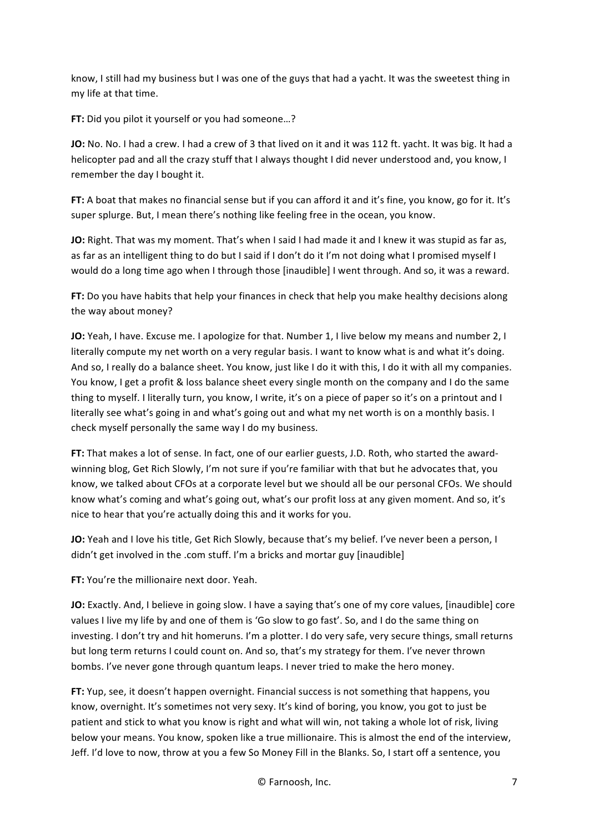know, I still had my business but I was one of the guys that had a yacht. It was the sweetest thing in my life at that time.

**FT:** Did you pilot it yourself or you had someone...?

**JO:** No. No. I had a crew. I had a crew of 3 that lived on it and it was 112 ft. yacht. It was big. It had a helicopter pad and all the crazy stuff that I always thought I did never understood and, you know, I remember the day I bought it.

**FT:** A boat that makes no financial sense but if you can afford it and it's fine, you know, go for it. It's super splurge. But, I mean there's nothing like feeling free in the ocean, you know.

**JO:** Right. That was my moment. That's when I said I had made it and I knew it was stupid as far as, as far as an intelligent thing to do but I said if I don't do it I'm not doing what I promised myself I would do a long time ago when I through those [inaudible] I went through. And so, it was a reward.

**FT:** Do you have habits that help your finances in check that help you make healthy decisions along the way about money?

**JO:** Yeah, I have. Excuse me. I apologize for that. Number 1, I live below my means and number 2, I literally compute my net worth on a very regular basis. I want to know what is and what it's doing. And so, I really do a balance sheet. You know, just like I do it with this, I do it with all my companies. You know, I get a profit & loss balance sheet every single month on the company and I do the same thing to myself. I literally turn, you know, I write, it's on a piece of paper so it's on a printout and I literally see what's going in and what's going out and what my net worth is on a monthly basis. I check myself personally the same way I do my business.

FT: That makes a lot of sense. In fact, one of our earlier guests, J.D. Roth, who started the awardwinning blog, Get Rich Slowly, I'm not sure if you're familiar with that but he advocates that, you know, we talked about CFOs at a corporate level but we should all be our personal CFOs. We should know what's coming and what's going out, what's our profit loss at any given moment. And so, it's nice to hear that you're actually doing this and it works for you.

**JO:** Yeah and I love his title, Get Rich Slowly, because that's my belief. I've never been a person, I didn't get involved in the .com stuff. I'm a bricks and mortar guy [inaudible]

**FT:** You're the millionaire next door. Yeah.

**JO:** Exactly. And, I believe in going slow. I have a saying that's one of my core values, [inaudible] core values I live my life by and one of them is 'Go slow to go fast'. So, and I do the same thing on investing. I don't try and hit homeruns. I'm a plotter. I do very safe, very secure things, small returns but long term returns I could count on. And so, that's my strategy for them. I've never thrown bombs. I've never gone through quantum leaps. I never tried to make the hero money.

FT: Yup, see, it doesn't happen overnight. Financial success is not something that happens, you know, overnight. It's sometimes not very sexy. It's kind of boring, you know, you got to just be patient and stick to what you know is right and what will win, not taking a whole lot of risk, living below your means. You know, spoken like a true millionaire. This is almost the end of the interview, Jeff. I'd love to now, throw at you a few So Money Fill in the Blanks. So, I start off a sentence, you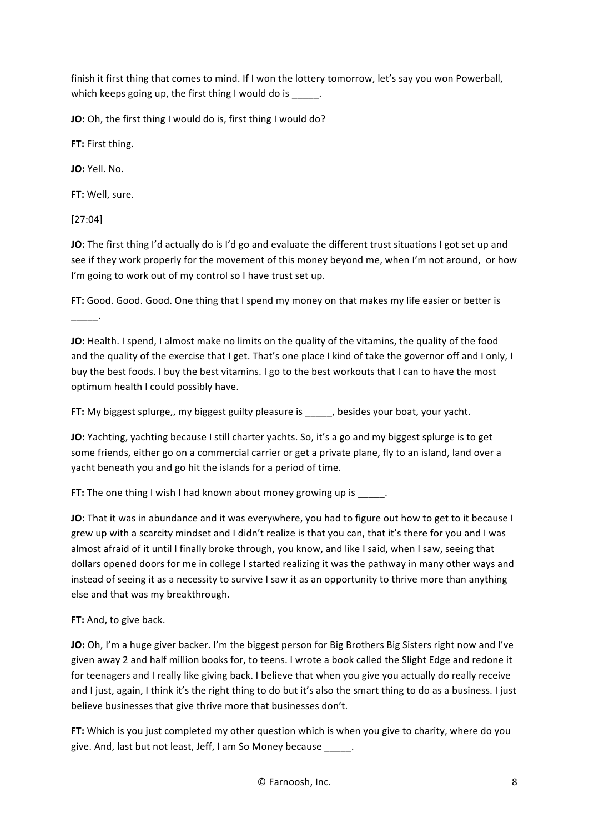finish it first thing that comes to mind. If I won the lottery tomorrow, let's say you won Powerball, which keeps going up, the first thing I would do is \_\_\_\_\_.

**JO:** Oh, the first thing I would do is, first thing I would do?

**FT:** First thing.

**JO:** Yell. No.

**FT:** Well, sure.

[27:04]

\_\_\_\_\_.

**JO:** The first thing I'd actually do is I'd go and evaluate the different trust situations I got set up and see if they work properly for the movement of this money beyond me, when I'm not around, or how I'm going to work out of my control so I have trust set up.

FT: Good. Good. Good. One thing that I spend my money on that makes my life easier or better is

**JO:** Health. I spend, I almost make no limits on the quality of the vitamins, the quality of the food and the quality of the exercise that I get. That's one place I kind of take the governor off and I only, I buy the best foods. I buy the best vitamins. I go to the best workouts that I can to have the most optimum health I could possibly have.

FT: My biggest splurge,, my biggest guilty pleasure is \_\_\_\_, besides your boat, your yacht.

**JO:** Yachting, yachting because I still charter yachts. So, it's a go and my biggest splurge is to get some friends, either go on a commercial carrier or get a private plane, fly to an island, land over a yacht beneath you and go hit the islands for a period of time.

**FT:** The one thing I wish I had known about money growing up is  $\qquad \qquad$ .

**JO:** That it was in abundance and it was everywhere, you had to figure out how to get to it because I grew up with a scarcity mindset and I didn't realize is that you can, that it's there for you and I was almost afraid of it until I finally broke through, you know, and like I said, when I saw, seeing that dollars opened doors for me in college I started realizing it was the pathway in many other ways and instead of seeing it as a necessity to survive I saw it as an opportunity to thrive more than anything else and that was my breakthrough.

**FT:** And, to give back.

**JO:** Oh, I'm a huge giver backer. I'm the biggest person for Big Brothers Big Sisters right now and I've given away 2 and half million books for, to teens. I wrote a book called the Slight Edge and redone it for teenagers and I really like giving back. I believe that when you give you actually do really receive and I just, again, I think it's the right thing to do but it's also the smart thing to do as a business. I just believe businesses that give thrive more that businesses don't.

**FT:** Which is you just completed my other question which is when you give to charity, where do you give. And, last but not least, Jeff, I am So Money because .